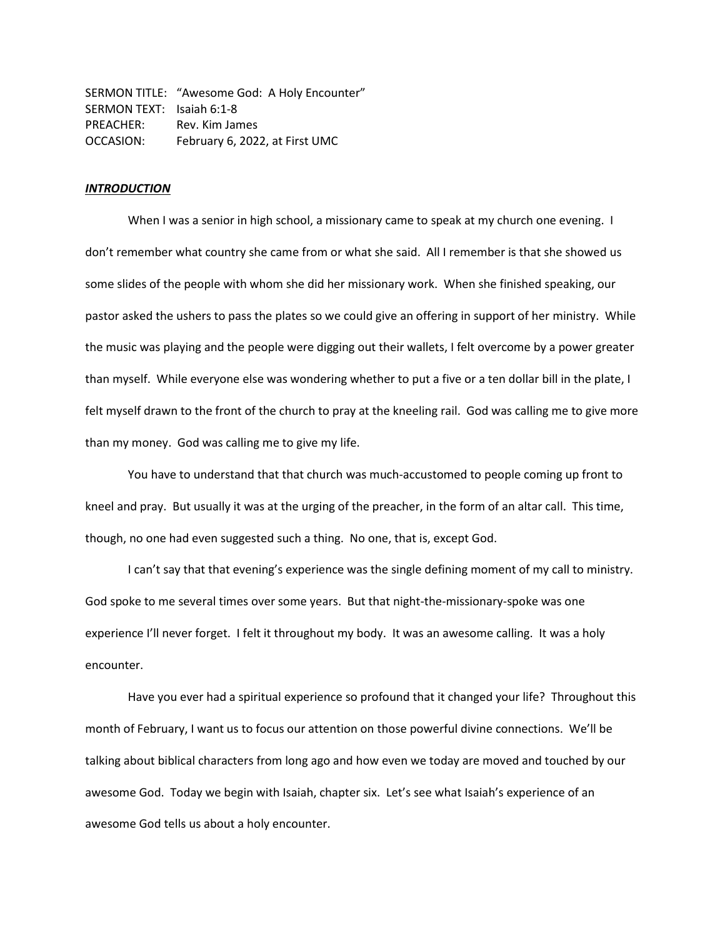SERMON TITLE: "Awesome God: A Holy Encounter" SERMON TEXT: Isaiah 6:1-8 PREACHER: Rev. Kim James OCCASION: February 6, 2022, at First UMC

## *INTRODUCTION*

When I was a senior in high school, a missionary came to speak at my church one evening. I don't remember what country she came from or what she said. All I remember is that she showed us some slides of the people with whom she did her missionary work. When she finished speaking, our pastor asked the ushers to pass the plates so we could give an offering in support of her ministry. While the music was playing and the people were digging out their wallets, I felt overcome by a power greater than myself. While everyone else was wondering whether to put a five or a ten dollar bill in the plate, I felt myself drawn to the front of the church to pray at the kneeling rail. God was calling me to give more than my money. God was calling me to give my life.

You have to understand that that church was much-accustomed to people coming up front to kneel and pray. But usually it was at the urging of the preacher, in the form of an altar call. This time, though, no one had even suggested such a thing. No one, that is, except God.

I can't say that that evening's experience was the single defining moment of my call to ministry. God spoke to me several times over some years. But that night-the-missionary-spoke was one experience I'll never forget. I felt it throughout my body. It was an awesome calling. It was a holy encounter.

Have you ever had a spiritual experience so profound that it changed your life? Throughout this month of February, I want us to focus our attention on those powerful divine connections. We'll be talking about biblical characters from long ago and how even we today are moved and touched by our awesome God. Today we begin with Isaiah, chapter six. Let's see what Isaiah's experience of an awesome God tells us about a holy encounter.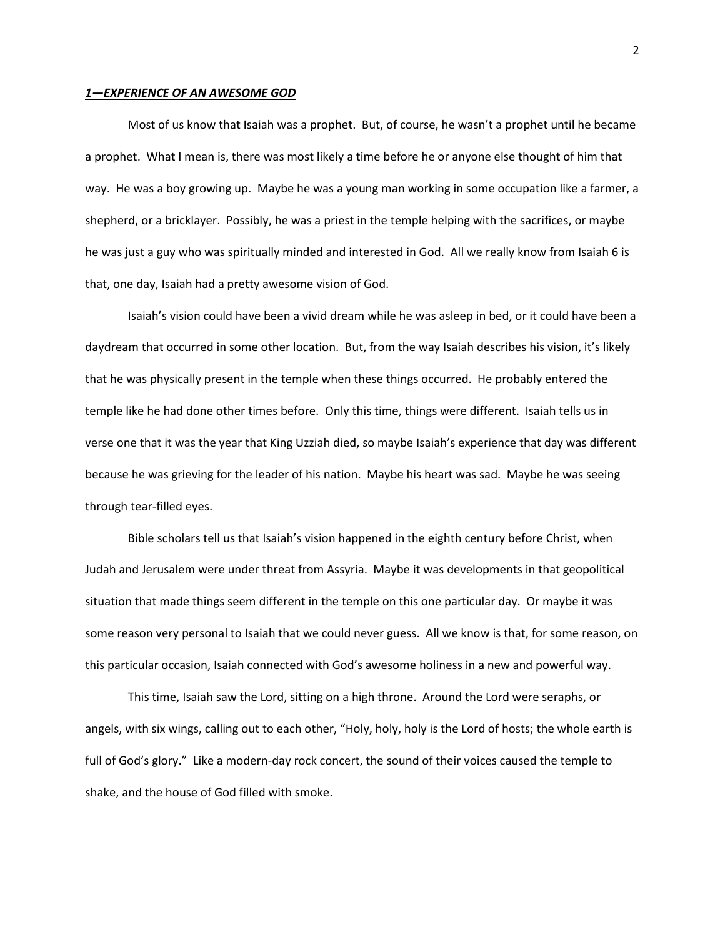## *1—EXPERIENCE OF AN AWESOME GOD*

Most of us know that Isaiah was a prophet. But, of course, he wasn't a prophet until he became a prophet. What I mean is, there was most likely a time before he or anyone else thought of him that way. He was a boy growing up. Maybe he was a young man working in some occupation like a farmer, a shepherd, or a bricklayer. Possibly, he was a priest in the temple helping with the sacrifices, or maybe he was just a guy who was spiritually minded and interested in God. All we really know from Isaiah 6 is that, one day, Isaiah had a pretty awesome vision of God.

Isaiah's vision could have been a vivid dream while he was asleep in bed, or it could have been a daydream that occurred in some other location. But, from the way Isaiah describes his vision, it's likely that he was physically present in the temple when these things occurred. He probably entered the temple like he had done other times before. Only this time, things were different. Isaiah tells us in verse one that it was the year that King Uzziah died, so maybe Isaiah's experience that day was different because he was grieving for the leader of his nation. Maybe his heart was sad. Maybe he was seeing through tear-filled eyes.

Bible scholars tell us that Isaiah's vision happened in the eighth century before Christ, when Judah and Jerusalem were under threat from Assyria. Maybe it was developments in that geopolitical situation that made things seem different in the temple on this one particular day. Or maybe it was some reason very personal to Isaiah that we could never guess. All we know is that, for some reason, on this particular occasion, Isaiah connected with God's awesome holiness in a new and powerful way.

This time, Isaiah saw the Lord, sitting on a high throne. Around the Lord were seraphs, or angels, with six wings, calling out to each other, "Holy, holy, holy is the Lord of hosts; the whole earth is full of God's glory." Like a modern-day rock concert, the sound of their voices caused the temple to shake, and the house of God filled with smoke.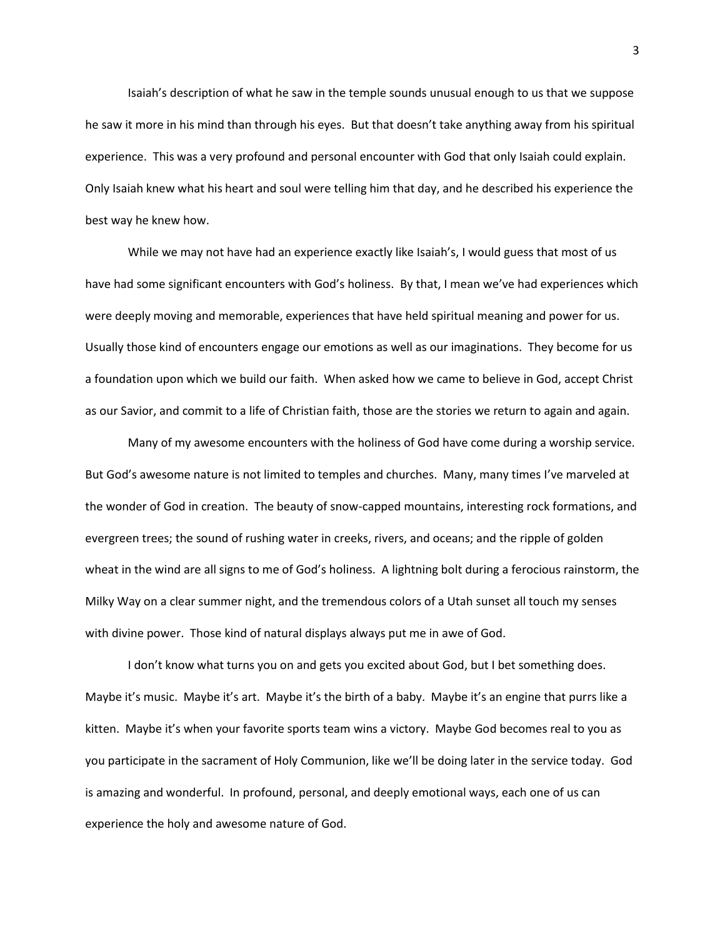Isaiah's description of what he saw in the temple sounds unusual enough to us that we suppose he saw it more in his mind than through his eyes. But that doesn't take anything away from his spiritual experience. This was a very profound and personal encounter with God that only Isaiah could explain. Only Isaiah knew what his heart and soul were telling him that day, and he described his experience the best way he knew how.

While we may not have had an experience exactly like Isaiah's, I would guess that most of us have had some significant encounters with God's holiness. By that, I mean we've had experiences which were deeply moving and memorable, experiences that have held spiritual meaning and power for us. Usually those kind of encounters engage our emotions as well as our imaginations. They become for us a foundation upon which we build our faith. When asked how we came to believe in God, accept Christ as our Savior, and commit to a life of Christian faith, those are the stories we return to again and again.

Many of my awesome encounters with the holiness of God have come during a worship service. But God's awesome nature is not limited to temples and churches. Many, many times I've marveled at the wonder of God in creation. The beauty of snow-capped mountains, interesting rock formations, and evergreen trees; the sound of rushing water in creeks, rivers, and oceans; and the ripple of golden wheat in the wind are all signs to me of God's holiness. A lightning bolt during a ferocious rainstorm, the Milky Way on a clear summer night, and the tremendous colors of a Utah sunset all touch my senses with divine power. Those kind of natural displays always put me in awe of God.

I don't know what turns you on and gets you excited about God, but I bet something does. Maybe it's music. Maybe it's art. Maybe it's the birth of a baby. Maybe it's an engine that purrs like a kitten. Maybe it's when your favorite sports team wins a victory. Maybe God becomes real to you as you participate in the sacrament of Holy Communion, like we'll be doing later in the service today. God is amazing and wonderful. In profound, personal, and deeply emotional ways, each one of us can experience the holy and awesome nature of God.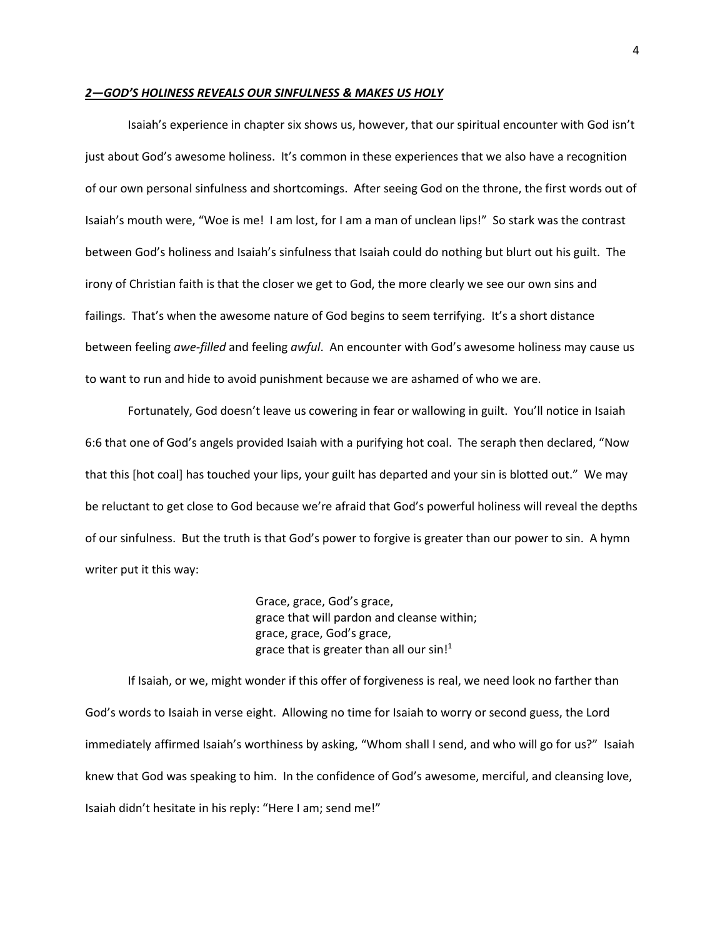## *2—GOD'S HOLINESS REVEALS OUR SINFULNESS & MAKES US HOLY*

Isaiah's experience in chapter six shows us, however, that our spiritual encounter with God isn't just about God's awesome holiness. It's common in these experiences that we also have a recognition of our own personal sinfulness and shortcomings. After seeing God on the throne, the first words out of Isaiah's mouth were, "Woe is me! I am lost, for I am a man of unclean lips!" So stark was the contrast between God's holiness and Isaiah's sinfulness that Isaiah could do nothing but blurt out his guilt. The irony of Christian faith is that the closer we get to God, the more clearly we see our own sins and failings. That's when the awesome nature of God begins to seem terrifying. It's a short distance between feeling *awe-filled* and feeling *awful*. An encounter with God's awesome holiness may cause us to want to run and hide to avoid punishment because we are ashamed of who we are.

Fortunately, God doesn't leave us cowering in fear or wallowing in guilt. You'll notice in Isaiah 6:6 that one of God's angels provided Isaiah with a purifying hot coal. The seraph then declared, "Now that this [hot coal] has touched your lips, your guilt has departed and your sin is blotted out." We may be reluctant to get close to God because we're afraid that God's powerful holiness will reveal the depths of our sinfulness. But the truth is that God's power to forgive is greater than our power to sin. A hymn writer put it this way:

> Grace, grace, God's grace, grace that will pardon and cleanse within; grace, grace, God's grace, grace that is greater than all our  $sin<sup>1</sup>$

If Isaiah, or we, might wonder if this offer of forgiveness is real, we need look no farther than God's words to Isaiah in verse eight. Allowing no time for Isaiah to worry or second guess, the Lord immediately affirmed Isaiah's worthiness by asking, "Whom shall I send, and who will go for us?" Isaiah knew that God was speaking to him. In the confidence of God's awesome, merciful, and cleansing love, Isaiah didn't hesitate in his reply: "Here I am; send me!"